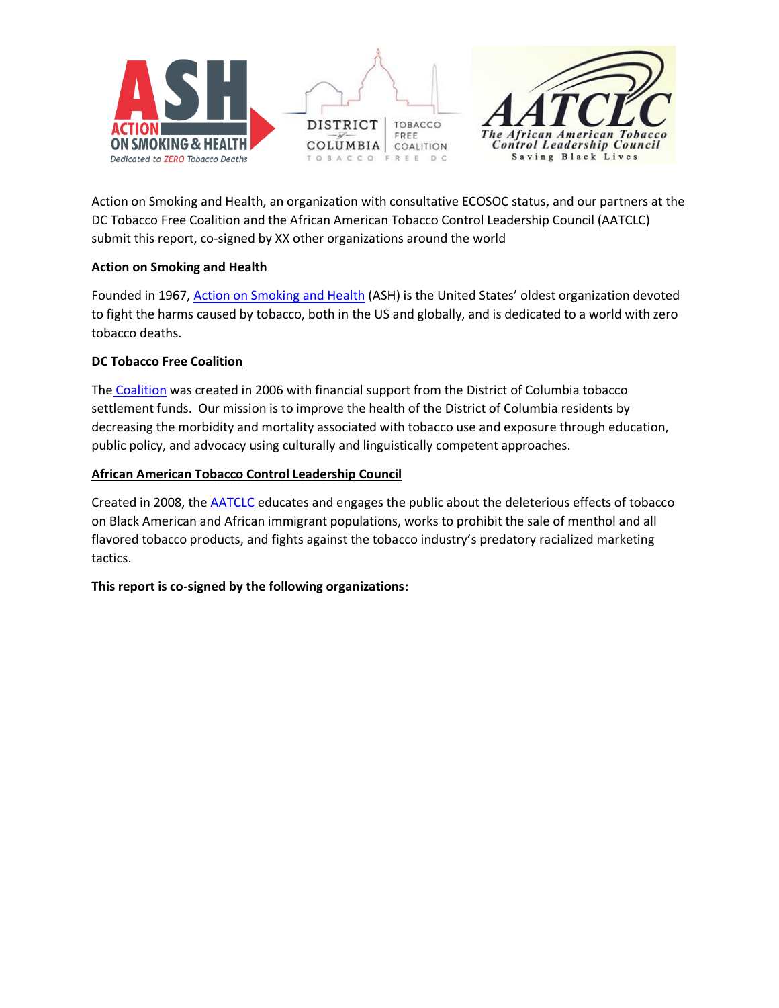



Action on Smoking and Health, an organization with consultative ECOSOC status, and our partners at the DC Tobacco Free Coalition and the African American Tobacco Control Leadership Council (AATCLC) submit this report, co-signed by XX other organizations around the world

### **Action on Smoking and Health**

Founded in 1967, [Action on Smoking and Health](http://www.ash.org/) (ASH) is the United States' oldest organization devoted to fight the harms caused by tobacco, both in the US and globally, and is dedicated to a world with zero tobacco deaths.

## **DC Tobacco Free Coalition**

The [Coalition](https://www.dctfc.org/) was created in 2006 with financial support from the District of Columbia tobacco settlement funds. Our mission is to improve the health of the District of Columbia residents by decreasing the morbidity and mortality associated with tobacco use and exposure through education, public policy, and advocacy using culturally and linguistically competent approaches.

### **African American Tobacco Control Leadership Council**

Created in 2008, th[e AATCLC](https://www.savingblacklives.org/) educates and engages the public about the deleterious effects of tobacco on Black American and African immigrant populations, works to prohibit the sale of menthol and all flavored tobacco products, and fights against the tobacco industry's predatory racialized marketing tactics.

#### **This report is co-signed by the following organizations:**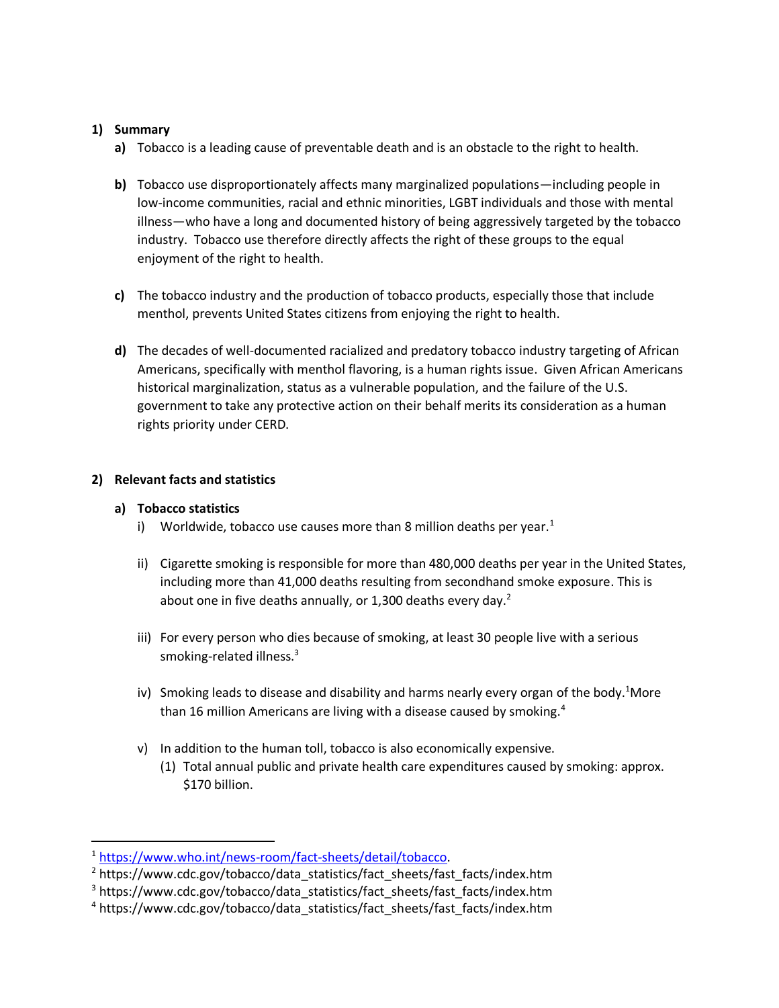#### **1) Summary**

- **a)** Tobacco is a leading cause of preventable death and is an obstacle to the right to health.
- **b)** Tobacco use disproportionately affects many marginalized populations—including people in low-income communities, racial and ethnic minorities, LGBT individuals and those with mental illness—who have a long and documented history of being aggressively targeted by the tobacco industry. Tobacco use therefore directly affects the right of these groups to the equal enjoyment of the right to health.
- **c)** The tobacco industry and the production of tobacco products, especially those that include menthol, prevents United States citizens from enjoying the right to health.
- **d)** The decades of well-documented racialized and predatory tobacco industry targeting of African Americans, specifically with menthol flavoring, is a human rights issue. Given African Americans historical marginalization, status as a vulnerable population, and the failure of the U.S. government to take any protective action on their behalf merits its consideration as a human rights priority under CERD.

## **2) Relevant facts and statistics**

### **a) Tobacco statistics**

- i) Worldwide, tobacco use causes more than 8 million deaths per year.<sup>1</sup>
- ii) Cigarette smoking is responsible for more than 480,000 deaths per year in the United States, including more than 41,000 deaths resulting from secondhand smoke exposure. This is about one in five deaths annually, or 1,300 deaths every day. $2$
- iii) For every person who dies because of smoking, at least 30 people live with a serious smoking-related illness.<sup>3</sup>
- iv) Smoking leads to disease and disability and harms nearly every organ of the body.<sup>1</sup>More than 16 million Americans are living with a disease caused by smoking.<sup>4</sup>
- v) In addition to the human toll, tobacco is also economically expensive.
	- (1) Total annual public and private health care expenditures caused by smoking: approx. \$170 billion.

<sup>1</sup> [https://www.who.int/news-room/fact-sheets/detail/tobacco.](https://www.who.int/news-room/fact-sheets/detail/tobacco)

<sup>2</sup> https://www.cdc.gov/tobacco/data\_statistics/fact\_sheets/fast\_facts/index.htm

<sup>&</sup>lt;sup>3</sup> https://www.cdc.gov/tobacco/data\_statistics/fact\_sheets/fast\_facts/index.htm

<sup>4</sup> https://www.cdc.gov/tobacco/data\_statistics/fact\_sheets/fast\_facts/index.htm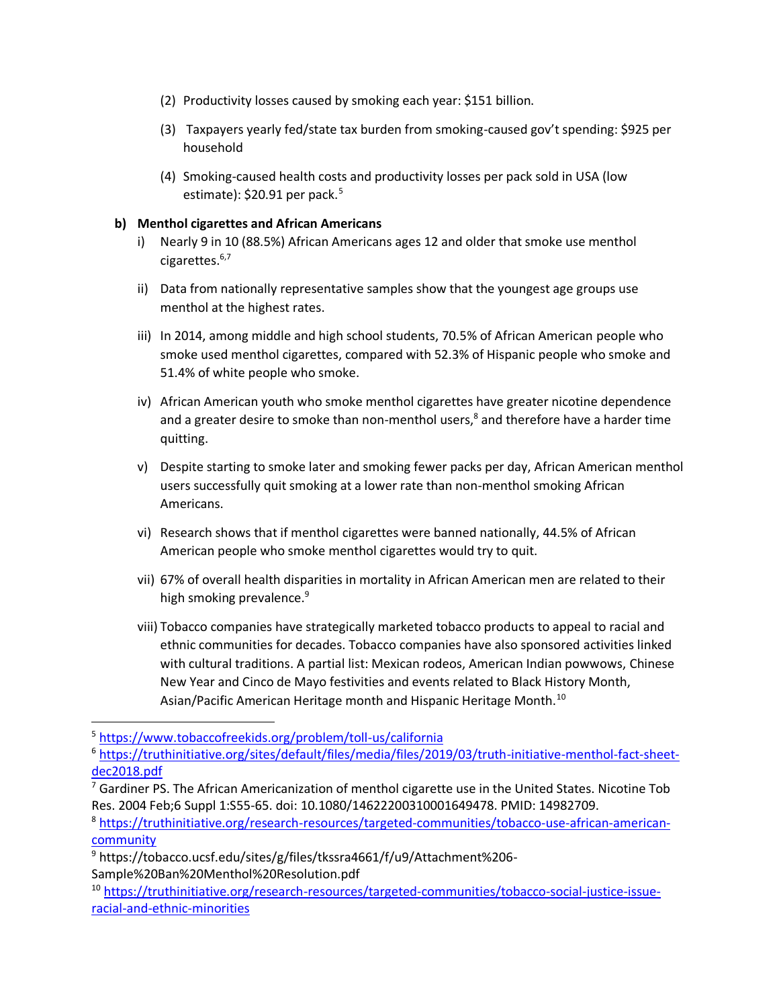- (2) Productivity losses caused by smoking each year: \$151 billion.
- (3) Taxpayers yearly fed/state tax burden from smoking-caused gov't spending: \$925 per household
- (4) Smoking-caused health costs and productivity losses per pack sold in USA (low estimate):  $$20.91$  per pack.<sup>5</sup>

### **b) Menthol cigarettes and African Americans**

- i) Nearly 9 in 10 (88.5%) African Americans ages 12 and older that smoke use menthol cigarettes.6,7
- ii) Data from nationally representative samples show that the youngest age groups use menthol at the highest rates.
- iii) In 2014, among middle and high school students, 70.5% of African American people who smoke used menthol cigarettes, compared with 52.3% of Hispanic people who smoke and 51.4% of white people who smoke.
- iv) African American youth who smoke menthol cigarettes have greater nicotine dependence and a greater desire to smoke than non-menthol users,<sup>8</sup> and therefore have a harder time quitting.
- v) Despite starting to smoke later and smoking fewer packs per day, African American menthol users successfully quit smoking at a lower rate than non-menthol smoking African Americans.
- vi) Research shows that if menthol cigarettes were banned nationally, 44.5% of African American people who smoke menthol cigarettes would try to quit.
- vii) 67% of overall health disparities in mortality in African American men are related to their high smoking prevalence.<sup>9</sup>
- viii) Tobacco companies have strategically marketed tobacco products to appeal to racial and ethnic communities for decades. Tobacco companies have also sponsored [activities linked](https://truthinitiative.org/sites/default/files/media/files/2019/03/Achieving%20Health%20Equity%20in%20Tabacco%20Control%20-%20Version%201.pdf)  [with cultural traditions.](https://truthinitiative.org/sites/default/files/media/files/2019/03/Achieving%20Health%20Equity%20in%20Tabacco%20Control%20-%20Version%201.pdf) A partial list: Mexican rodeos, American Indian powwows, Chinese New Year and Cinco de Mayo festivities and events related to Black History Month, Asian/Pacific American Heritage month and Hispanic Heritage Month.<sup>10</sup>

<sup>5</sup> <https://www.tobaccofreekids.org/problem/toll-us/california>

<sup>6</sup> [https://truthinitiative.org/sites/default/files/media/files/2019/03/truth-initiative-menthol-fact-sheet](https://truthinitiative.org/sites/default/files/media/files/2019/03/truth-initiative-menthol-fact-sheet-dec2018.pdf)[dec2018.pdf](https://truthinitiative.org/sites/default/files/media/files/2019/03/truth-initiative-menthol-fact-sheet-dec2018.pdf)

 $<sup>7</sup>$  Gardiner PS. The African Americanization of menthol cigarette use in the United States. Nicotine Tob</sup> Res. 2004 Feb;6 Suppl 1:S55-65. doi: 10.1080/14622200310001649478. PMID: 14982709.

<sup>8</sup> [https://truthinitiative.org/research-resources/targeted-communities/tobacco-use-african-american](https://truthinitiative.org/research-resources/targeted-communities/tobacco-use-african-american-community)**[community](https://truthinitiative.org/research-resources/targeted-communities/tobacco-use-african-american-community)** 

<sup>9</sup> https://tobacco.ucsf.edu/sites/g/files/tkssra4661/f/u9/Attachment%206- Sample%20Ban%20Menthol%20Resolution.pdf

<sup>10</sup> [https://truthinitiative.org/research-resources/targeted-communities/tobacco-social-justice-issue](https://truthinitiative.org/research-resources/targeted-communities/tobacco-social-justice-issue-racial-and-ethnic-minorities)[racial-and-ethnic-minorities](https://truthinitiative.org/research-resources/targeted-communities/tobacco-social-justice-issue-racial-and-ethnic-minorities)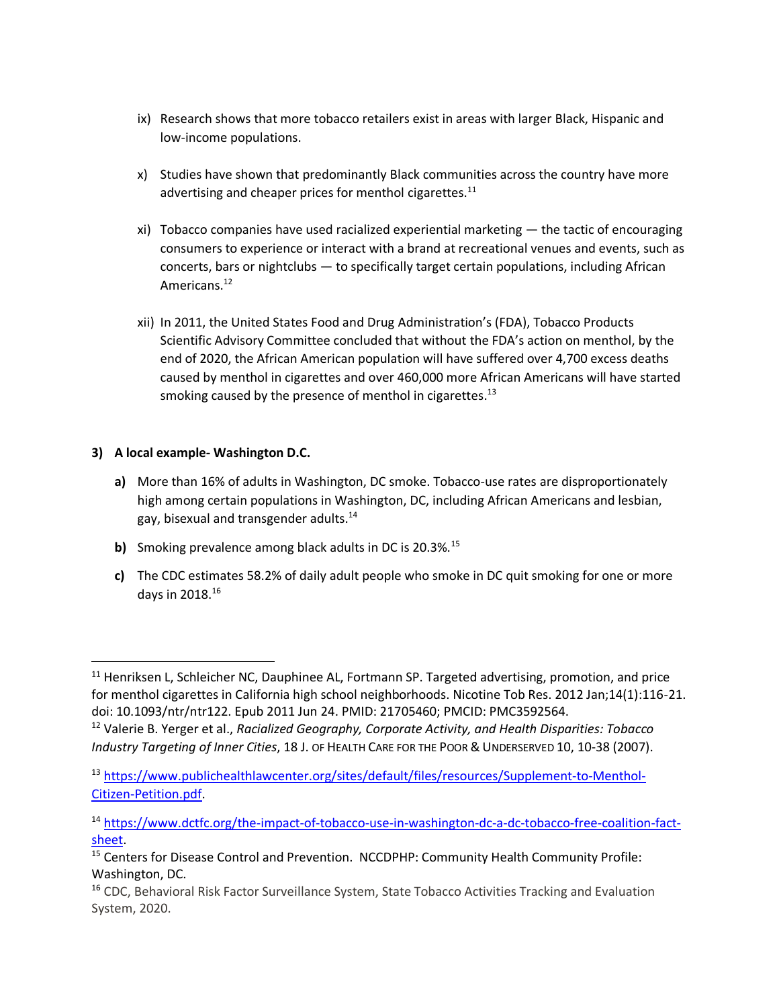- ix) Research shows that more tobacco retailers exist in areas with larger Black, Hispanic and low-income populations.
- x) Studies have shown that predominantly Black communities across the country have more advertising and cheaper prices for menthol cigarettes. $^{11}$
- xi) Tobacco companies have used racialized experiential marketing the tactic of encouraging consumers to experience or interact with a brand at recreational venues and events, such as concerts, bars or nightclubs — to specifically target certain populations, including African Americans.<sup>12</sup>
- xii) In 2011, the United States Food and Drug Administration's (FDA), Tobacco Products Scientific Advisory Committee concluded that without the FDA's action on menthol, by the end of 2020, the African American population will have suffered over 4,700 excess deaths caused by menthol in cigarettes and over 460,000 more African Americans will have started smoking caused by the presence of menthol in cigarettes.<sup>13</sup>

## **3) A local example- Washington D.C.**

- **a)** More than 16% of adults in Washington, DC smoke. Tobacco-use rates are disproportionately high among certain populations in Washington, DC, including African Americans and lesbian, gay, bisexual and transgender adults.<sup>14</sup>
- **b)** Smoking prevalence among black adults in DC is 20.3%.<sup>15</sup>
- **c)** The CDC estimates 58.2% of daily adult people who smoke in DC quit smoking for one or more days in 2018.<sup>16</sup>

<sup>&</sup>lt;sup>11</sup> Henriksen L, Schleicher NC, Dauphinee AL, Fortmann SP. Targeted advertising, promotion, and price for menthol cigarettes in California high school neighborhoods. Nicotine Tob Res. 2012 Jan;14(1):116-21. doi: 10.1093/ntr/ntr122. Epub 2011 Jun 24. PMID: 21705460; PMCID: PMC3592564. <sup>12</sup> Valerie B. Yerger et al., *Racialized Geography, Corporate Activity, and Health Disparities: Tobacco Industry Targeting of Inner Cities*, 18 J. OF HEALTH CARE FOR THE POOR &UNDERSERVED 10, 10-38 (2007).

<sup>13</sup> [https://www.publichealthlawcenter.org/sites/default/files/resources/Supplement-to-Menthol-](https://www.publichealthlawcenter.org/sites/default/files/resources/Supplement-to-Menthol-Citizen-Petition.pdf)[Citizen-Petition.pdf.](https://www.publichealthlawcenter.org/sites/default/files/resources/Supplement-to-Menthol-Citizen-Petition.pdf)

<sup>14</sup> [https://www.dctfc.org/the-impact-of-tobacco-use-in-washington-dc-a-dc-tobacco-free-coalition-fact](https://www.dctfc.org/the-impact-of-tobacco-use-in-washington-dc-a-dc-tobacco-free-coalition-fact-sheet)[sheet.](https://www.dctfc.org/the-impact-of-tobacco-use-in-washington-dc-a-dc-tobacco-free-coalition-fact-sheet)

<sup>&</sup>lt;sup>15</sup> Centers for Disease Control and Prevention. NCCDPHP: Community Health Community Profile: Washington, DC.

<sup>&</sup>lt;sup>16</sup> CDC, Behavioral Risk Factor Surveillance System, State Tobacco Activities Tracking and Evaluation System, 2020.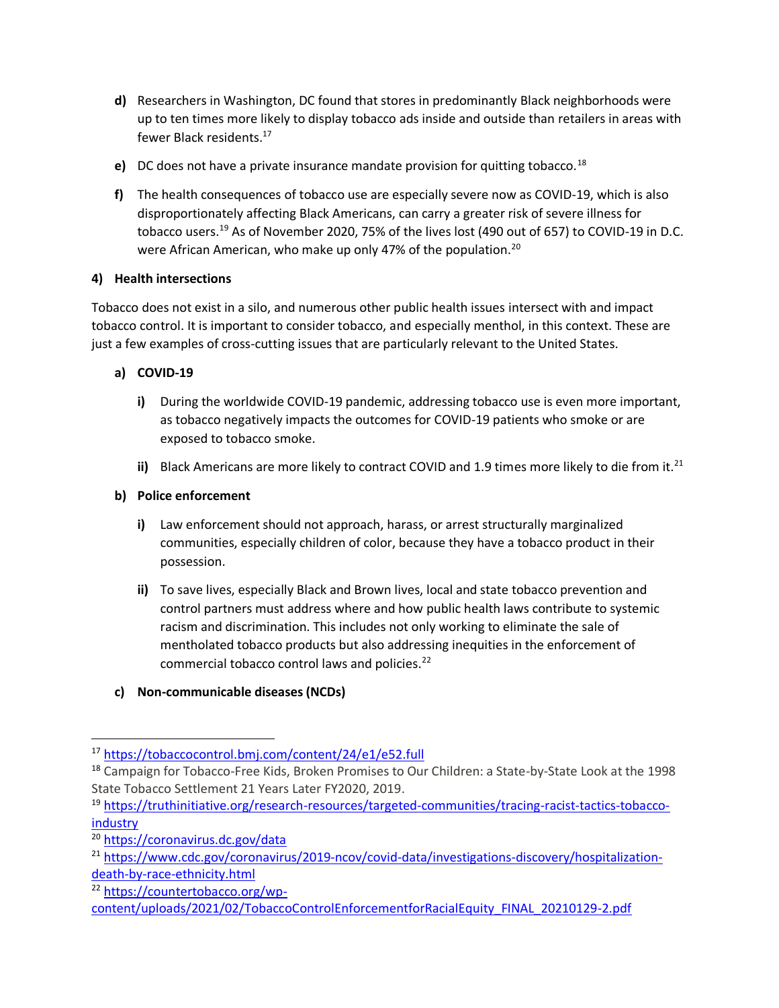- **d)** Researchers in Washington, DC found that stores in predominantly Black neighborhoods were up to ten times more likely to display tobacco ads inside and outside than retailers in areas with fewer Black residents.<sup>17</sup>
- **e)** DC does not have a private insurance mandate provision for quitting tobacco.<sup>18</sup>
- **f)** The health consequences of tobacco use are especially severe now as COVID-19, which is also disproportionately affecting Black Americans, can carry a greater risk of severe illness for tobacco users.<sup>19</sup> As of November 2020, 75% of the lives lost (490 out of 657) to COVID-19 in D.C. were African American, who make up only 47% of the population.<sup>20</sup>

# **4) Health intersections**

Tobacco does not exist in a silo, and numerous other public health issues intersect with and impact tobacco control. It is important to consider tobacco, and especially menthol, in this context. These are just a few examples of cross-cutting issues that are particularly relevant to the United States.

# **a) COVID-19**

- **i)** During the worldwide COVID-19 pandemic, addressing tobacco use is even more important, as tobacco negatively impacts the outcomes for COVID-19 patients who smoke or are exposed to tobacco smoke.
- ii) Black Americans are more likely to contract COVID and 1.9 times more likely to die from it.<sup>21</sup>

# **b) Police enforcement**

- **i)** Law enforcement should not approach, harass, or arrest structurally marginalized communities, especially children of color, because they have a tobacco product in their possession.
- **ii)** To save lives, especially Black and Brown lives, local and state tobacco prevention and control partners must address where and how public health laws contribute to systemic racism and discrimination. This includes not only working to eliminate the sale of mentholated tobacco products but also addressing inequities in the enforcement of commercial tobacco control laws and policies.<sup>22</sup>

# **c) Non-communicable diseases (NCDs)**

<sup>17</sup> <https://tobaccocontrol.bmj.com/content/24/e1/e52.full>

<sup>18</sup> Campaign for Tobacco-Free Kids, Broken Promises to Our Children: a State-by-State Look at the 1998 State Tobacco Settlement 21 Years Later FY2020, 2019.

<sup>19</sup> [https://truthinitiative.org/research-resources/targeted-communities/tracing-racist-tactics-tobacco](https://truthinitiative.org/research-resources/targeted-communities/tracing-racist-tactics-tobacco-industry)[industry](https://truthinitiative.org/research-resources/targeted-communities/tracing-racist-tactics-tobacco-industry)

<sup>20</sup> <https://coronavirus.dc.gov/data>

<sup>21</sup> [https://www.cdc.gov/coronavirus/2019-ncov/covid-data/investigations-discovery/hospitalization](https://www.cdc.gov/coronavirus/2019-ncov/covid-data/investigations-discovery/hospitalization-death-by-race-ethnicity.html)[death-by-race-ethnicity.html](https://www.cdc.gov/coronavirus/2019-ncov/covid-data/investigations-discovery/hospitalization-death-by-race-ethnicity.html)

<sup>22</sup> [https://countertobacco.org/wp-](https://countertobacco.org/wp-content/uploads/2021/02/TobaccoControlEnforcementforRacialEquity_FINAL_20210129-2.pdf)

[content/uploads/2021/02/TobaccoControlEnforcementforRacialEquity\\_FINAL\\_20210129-2.pdf](https://countertobacco.org/wp-content/uploads/2021/02/TobaccoControlEnforcementforRacialEquity_FINAL_20210129-2.pdf)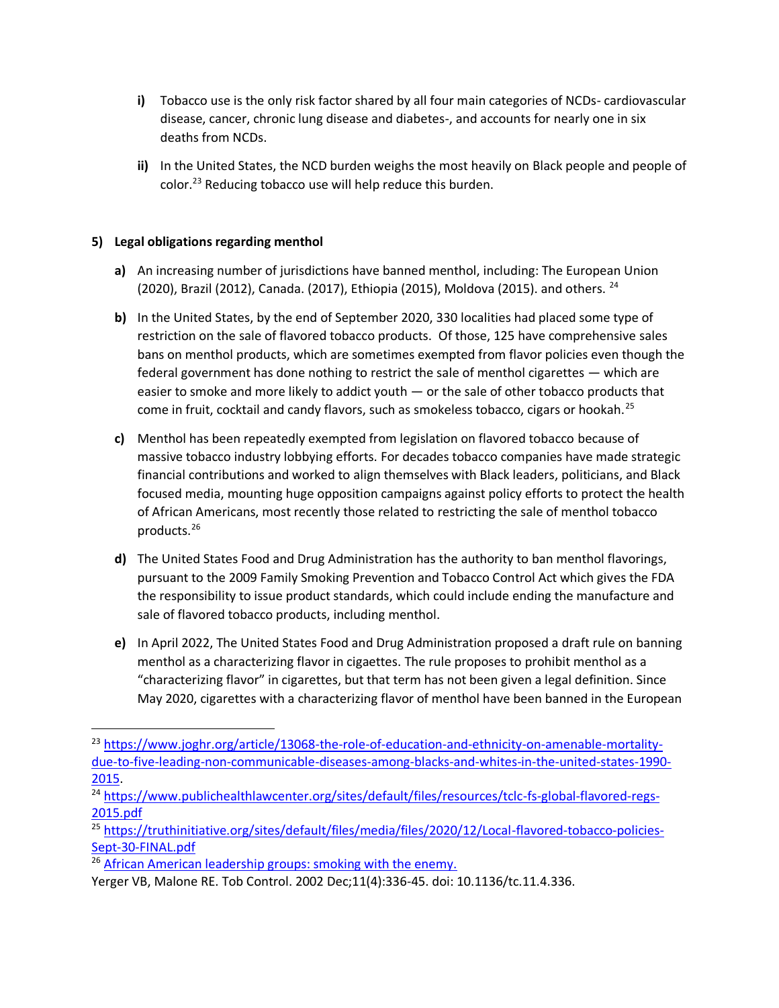- **i)** Tobacco use is the only risk factor shared by all four main categories of NCDs- cardiovascular disease, cancer, chronic lung disease and diabetes-, and accounts for nearly one in six deaths from NCDs.
- **ii)** In the United States, the NCD burden weighs the most heavily on Black people and people of color.<sup>23</sup> Reducing tobacco use will help reduce this burden.

## **5) Legal obligations regarding menthol**

- **a)** An increasing number of jurisdictions have banned menthol, including: The European Union (2020), Brazil (2012), Canada. (2017), Ethiopia (2015), Moldova (2015). and others. <sup>24</sup>
- **b)** In the United States, by the end of September 2020, 330 localities had placed some type of restriction on the sale of flavored tobacco products. Of those, 125 have comprehensive sales bans on menthol products, which are sometimes exempted from flavor policies even though the federal government has done nothing to restrict the sale of menthol cigarettes — which are easier to smoke and more likely to addict youth — or the sale of other tobacco products that come in fruit, cocktail and candy flavors, such as smokeless tobacco, cigars or hookah.<sup>25</sup>
- **c)** Menthol has been repeatedly exempted from legislation on flavored tobacco because of massive tobacco industry lobbying efforts. For decades tobacco companies have made strategic financial contributions and worked to align themselves with Black leaders, politicians, and Black focused media, mounting huge opposition campaigns against policy efforts to protect the health of African Americans, most recently those related to restricting the sale of menthol tobacco products.<sup>26</sup>
- **d)** The United States Food and Drug Administration has the authority to ban menthol flavorings, pursuant to the 2009 Family Smoking Prevention and Tobacco Control Act which gives the FDA the responsibility to issue product standards, which could include ending the manufacture and sale of flavored tobacco products, including menthol.
- **e)** In April 2022, The United States Food and Drug Administration proposed a draft rule on banning menthol as a characterizing flavor in cigaettes. The rule proposes to prohibit menthol as a "characterizing flavor" in cigarettes, but that term has not been given a legal definition. Since May 2020, cigarettes with a characterizing flavor of menthol have been banned in the European

Yerger VB, Malone RE. Tob Control. 2002 Dec;11(4):336-45. doi: 10.1136/tc.11.4.336.

<sup>&</sup>lt;sup>23</sup> [https://www.joghr.org/article/13068-the-role-of-education-and-ethnicity-on-amenable-mortality](https://www.joghr.org/article/13068-the-role-of-education-and-ethnicity-on-amenable-mortality-due-to-five-leading-non-communicable-diseases-among-blacks-and-whites-in-the-united-states-1990-2015)[due-to-five-leading-non-communicable-diseases-among-blacks-and-whites-in-the-united-states-1990-](https://www.joghr.org/article/13068-the-role-of-education-and-ethnicity-on-amenable-mortality-due-to-five-leading-non-communicable-diseases-among-blacks-and-whites-in-the-united-states-1990-2015) [2015.](https://www.joghr.org/article/13068-the-role-of-education-and-ethnicity-on-amenable-mortality-due-to-five-leading-non-communicable-diseases-among-blacks-and-whites-in-the-united-states-1990-2015)

<sup>&</sup>lt;sup>24</sup> [https://www.publichealthlawcenter.org/sites/default/files/resources/tclc-fs-global-flavored-regs-](https://www.publichealthlawcenter.org/sites/default/files/resources/tclc-fs-global-flavored-regs-2015.pdf)[2015.pdf](https://www.publichealthlawcenter.org/sites/default/files/resources/tclc-fs-global-flavored-regs-2015.pdf)

<sup>25</sup> [https://truthinitiative.org/sites/default/files/media/files/2020/12/Local-flavored-tobacco-policies-](https://truthinitiative.org/sites/default/files/media/files/2020/12/Local-flavored-tobacco-policies-Sept-30-FINAL.pdf)[Sept-30-FINAL.pdf](https://truthinitiative.org/sites/default/files/media/files/2020/12/Local-flavored-tobacco-policies-Sept-30-FINAL.pdf)

<sup>&</sup>lt;sup>26</sup> African American leadership groups: smoking with the enemy.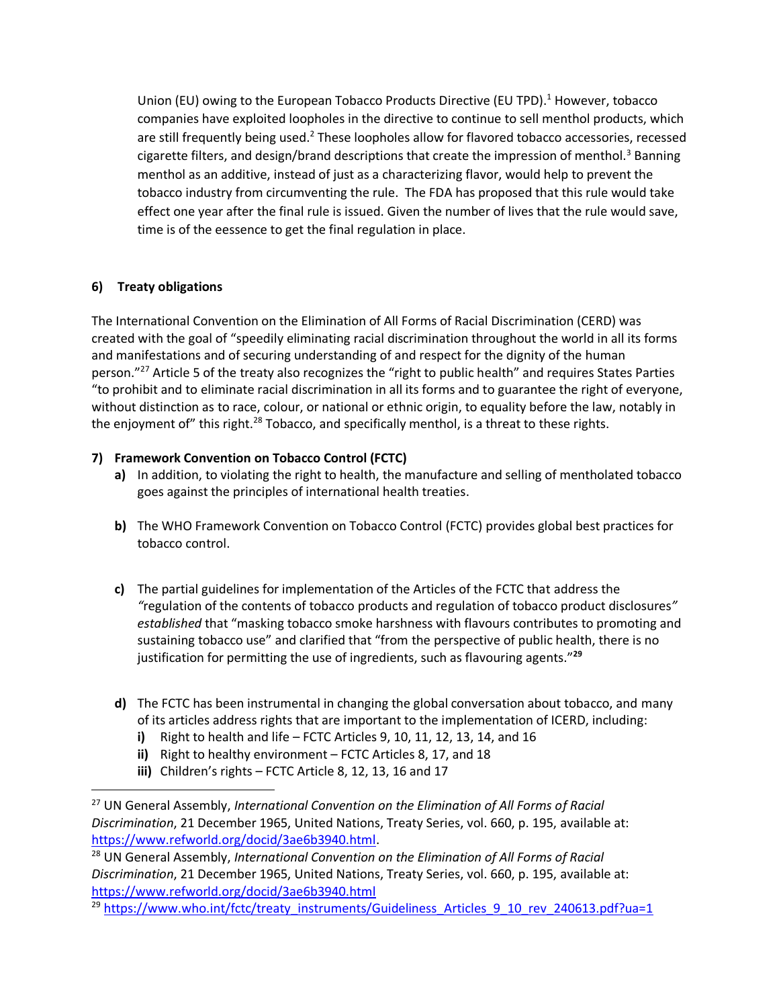Union (EU) owing to the European Tobacco Products Directive (EU TPD).<sup>1</sup> However, tobacco companies have exploited loopholes in the directive to continue to sell menthol products, which are still frequently being used.<sup>2</sup> These loopholes allow for flavored tobacco accessories, recessed cigarette filters, and design/brand descriptions that create the impression of menthol.<sup>3</sup> Banning menthol as an additive, instead of just as a characterizing flavor, would help to prevent the tobacco industry from circumventing the rule. The FDA has proposed that this rule would take effect one year after the final rule is issued. Given the number of lives that the rule would save, time is of the eessence to get the final regulation in place.

# **6) Treaty obligations**

The International Convention on the Elimination of All Forms of Racial Discrimination (CERD) was created with the goal of "speedily eliminating racial discrimination throughout the world in all its forms and manifestations and of securing understanding of and respect for the dignity of the human person."<sup>27</sup> Article 5 of the treaty also recognizes the "right to public health" and requires States Parties "to prohibit and to eliminate racial discrimination in all its forms and to guarantee the right of everyone, without distinction as to race, colour, or national or ethnic origin, to equality before the law, notably in the enjoyment of" this right.<sup>28</sup> Tobacco, and specifically menthol, is a threat to these rights.

# **7) Framework Convention on Tobacco Control (FCTC)**

- **a)** In addition, to violating the right to health, the manufacture and selling of mentholated tobacco goes against the principles of international health treaties.
- **b)** The WHO Framework Convention on Tobacco Control (FCTC) provides global best practices for tobacco control.
- **c)** The partial guidelines for implementation of the Articles of the FCTC that address the *"*regulation of the contents of tobacco products and regulation of tobacco product disclosures*" established* that "masking tobacco smoke harshness with flavours contributes to promoting and sustaining tobacco use" and clarified that "from the perspective of public health, there is no justification for permitting the use of ingredients, such as flavouring agents."**<sup>29</sup>**
- **d)** The FCTC has been instrumental in changing the global conversation about tobacco, and many of its articles address rights that are important to the implementation of ICERD, including:
	- **i)** Right to health and life FCTC Articles 9, 10, 11, 12, 13, 14, and 16
	- **ii)** Right to healthy environment FCTC Articles 8, 17, and 18
	- **iii)** Children's rights FCTC Article 8, 12, 13, 16 and 17

<sup>27</sup> UN General Assembly, *International Convention on the Elimination of All Forms of Racial Discrimination*, 21 December 1965, United Nations, Treaty Series, vol. 660, p. 195, available at: [https://www.refworld.org/docid/3ae6b3940.html.](https://www.refworld.org/docid/3ae6b3940.html)

<sup>28</sup> UN General Assembly, *International Convention on the Elimination of All Forms of Racial Discrimination*, 21 December 1965, United Nations, Treaty Series, vol. 660, p. 195, available at: <https://www.refworld.org/docid/3ae6b3940.html>

<sup>&</sup>lt;sup>29</sup> [https://www.who.int/fctc/treaty\\_instruments/Guideliness\\_Articles\\_9\\_10\\_rev\\_240613.pdf?ua=1](https://www.who.int/fctc/treaty_instruments/Guideliness_Articles_9_10_rev_240613.pdf?ua=1)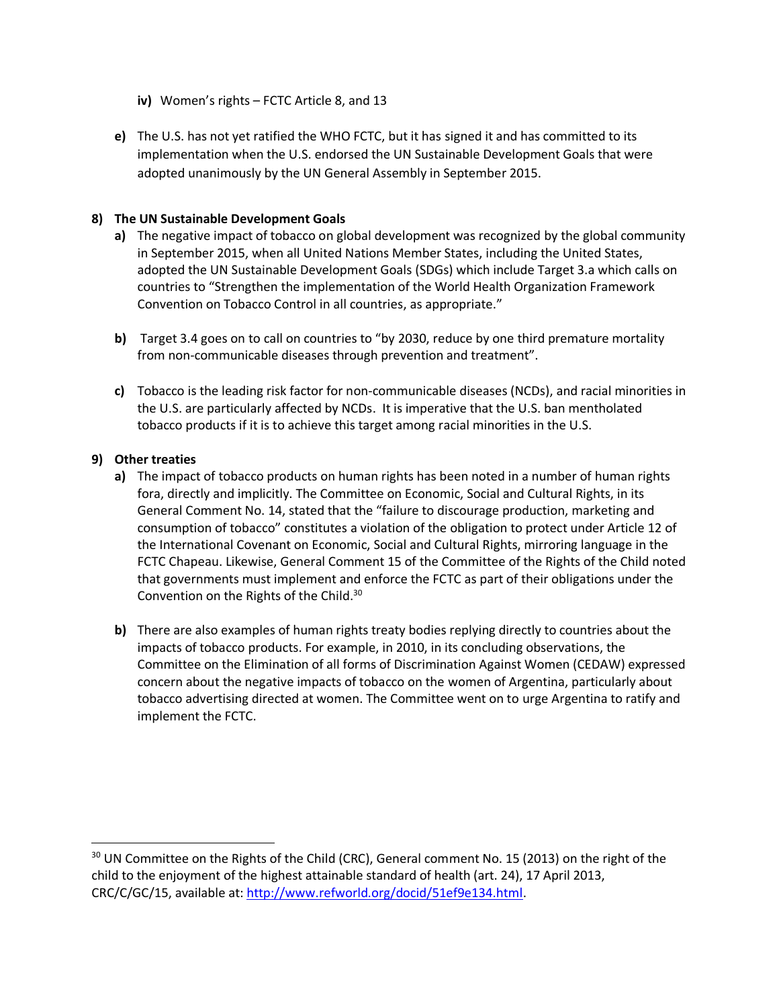- **iv)** Women's rights FCTC Article 8, and 13
- **e)** The U.S. has not yet ratified the WHO FCTC, but it has signed it and has committed to its implementation when the U.S. endorsed the UN Sustainable Development Goals that were adopted unanimously by the UN General Assembly in September 2015.

### **8) The UN Sustainable Development Goals**

- **a)** The negative impact of tobacco on global development was recognized by the global community in September 2015, when all United Nations Member States, including the United States, adopted the UN Sustainable Development Goals (SDGs) which include Target 3.a which calls on countries to "Strengthen the implementation of the World Health Organization Framework Convention on Tobacco Control in all countries, as appropriate."
- **b)** Target 3.4 goes on to call on countries to "by 2030, reduce by one third premature mortality from non-communicable diseases through prevention and treatment".
- **c)** Tobacco is the leading risk factor for non-communicable diseases (NCDs), and racial minorities in the U.S. are particularly affected by NCDs. It is imperative that the U.S. ban mentholated tobacco products if it is to achieve this target among racial minorities in the U.S.

#### **9) Other treaties**

- **a)** The impact of tobacco products on human rights has been noted in a number of human rights fora, directly and implicitly. The Committee on Economic, Social and Cultural Rights, in its General Comment No. 14, stated that the "failure to discourage production, marketing and consumption of tobacco" constitutes a violation of the obligation to protect under Article 12 of the International Covenant on Economic, Social and Cultural Rights, mirroring language in the FCTC Chapeau. Likewise, General Comment 15 of the Committee of the Rights of the Child noted that governments must implement and enforce the FCTC as part of their obligations under the Convention on the Rights of the Child.<sup>30</sup>
- **b)** There are also examples of human rights treaty bodies replying directly to countries about the impacts of tobacco products. For example, in 2010, in its concluding observations, the Committee on the Elimination of all forms of Discrimination Against Women (CEDAW) expressed concern about the negative impacts of tobacco on the women of Argentina, particularly about tobacco advertising directed at women. The Committee went on to urge Argentina to ratify and implement the FCTC.

 $30$  UN Committee on the Rights of the Child (CRC), General comment No. 15 (2013) on the right of the child to the enjoyment of the highest attainable standard of health (art. 24), 17 April 2013, CRC/C/GC/15, available at: [http://www.refworld.org/docid/51ef9e134.html.](http://www.refworld.org/docid/51ef9e134.html)